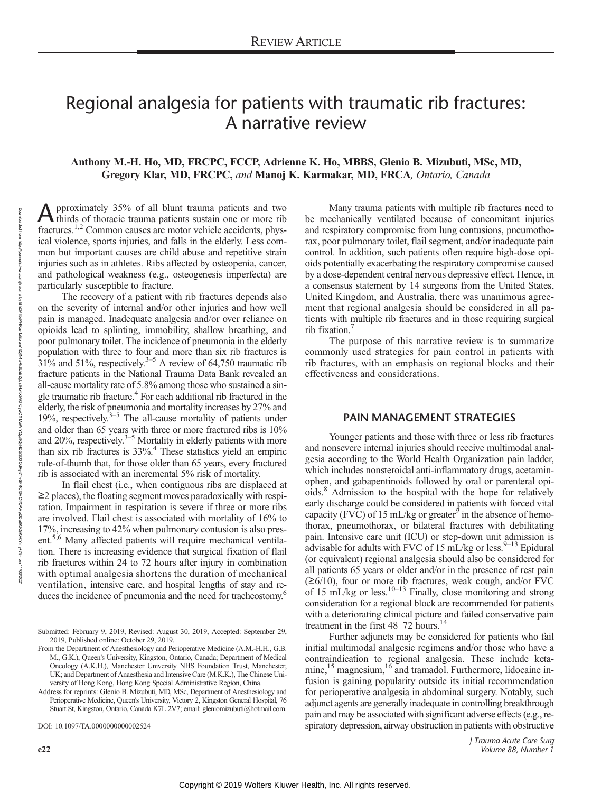# Regional analgesia for patients with traumatic rib fractures: A narrative review

# Anthony M.-H. Ho, MD, FRCPC, FCCP, Adrienne K. Ho, MBBS, Glenio B. Mizubuti, MSc, MD, Gregory Klar, MD, FRCPC, and Manoj K. Karmakar, MD, FRCA, Ontario, Canada

A pproximately 35% of all blunt trauma patients and two<br>thirds of thoracic trauma patients sustain one or more rib fractures.<sup>1,2</sup> Common causes are motor vehicle accidents, physical violence, sports injuries, and falls in the elderly. Less common but important causes are child abuse and repetitive strain injuries such as in athletes. Ribs affected by osteopenia, cancer, and pathological weakness (e.g., osteogenesis imperfecta) are particularly susceptible to fracture.

The recovery of a patient with rib fractures depends also on the severity of internal and/or other injuries and how well pain is managed. Inadequate analgesia and/or over reliance on opioids lead to splinting, immobility, shallow breathing, and poor pulmonary toilet. The incidence of pneumonia in the elderly population with three to four and more than six rib fractures is  $31\%$  and 51%, respectively.<sup>3–5</sup> A review of 64,750 traumatic rib fracture patients in the National Trauma Data Bank revealed an all-cause mortality rate of 5.8% among those who sustained a single traumatic rib fracture.<sup>4</sup> For each additional rib fractured in the elderly, the risk of pneumonia and mortality increases by 27% and 19%, respectively. $3-5$  The all-cause mortality of patients under and older than 65 years with three or more fractured ribs is 10% and 20%, respectively.<sup>3–5</sup> Mortality in elderly patients with more than six rib fractures is 33%.4 These statistics yield an empiric rule-of-thumb that, for those older than 65 years, every fractured rib is associated with an incremental 5% risk of mortality.

In flail chest (i.e., when contiguous ribs are displaced at ≥2 places), the floating segment moves paradoxically with respiration. Impairment in respiration is severe if three or more ribs are involved. Flail chest is associated with mortality of 16% to 17%, increasing to 42% when pulmonary contusion is also present.<sup>5,6</sup> Many affected patients will require mechanical ventilation. There is increasing evidence that surgical fixation of flail rib fractures within 24 to 72 hours after injury in combination with optimal analgesia shortens the duration of mechanical ventilation, intensive care, and hospital lengths of stay and reduces the incidence of pneumonia and the need for tracheostomy.<sup>6</sup>

From the Department of Anesthesiology and Perioperative Medicine (A.M.-H.H., G.B. M., G.K.), Queen's University, Kingston, Ontario, Canada; Department of Medical Oncology (A.K.H.), Manchester University NHS Foundation Trust, Manchester, UK; and Department of Anaesthesia and Intensive Care (M.K.K.), The Chinese University of Hong Kong, Hong Kong Special Administrative Region, China.

Address for reprints: Glenio B. Mizubuti, MD, MSc, Department of Anesthesiology and Perioperative Medicine, Queen's University, Victory 2, Kingston General Hospital, 76 Stuart St, Kingston, Ontario, Canada K7L 2V7; email: [gleniomizubuti@hotmail.com.](mailto:gleniomizubuti@hotmail.com)

DOI: 10.1097/TA.0000000000002524

Downloaded from

http://journals.lww.com/jtrauma

হ

BhDMf6ePHKav1zEoum1tQfXd+kJLhEZgbsHc4xXMi0hCywCX1AXpYQpJiQJHD3i3D0OdRyi7TvSFl4Cf3VC4/OAVpDDa8KKGKV5/OAVpDDa8KKGK

on 11/03/2021

Many trauma patients with multiple rib fractures need to be mechanically ventilated because of concomitant injuries and respiratory compromise from lung contusions, pneumothorax, poor pulmonary toilet, flail segment, and/or inadequate pain control. In addition, such patients often require high-dose opioids potentially exacerbating the respiratory compromise caused by a dose-dependent central nervous depressive effect. Hence, in a consensus statement by 14 surgeons from the United States, United Kingdom, and Australia, there was unanimous agreement that regional analgesia should be considered in all patients with multiple rib fractures and in those requiring surgical rib fixation.7

The purpose of this narrative review is to summarize commonly used strategies for pain control in patients with rib fractures, with an emphasis on regional blocks and their effectiveness and considerations.

## PAIN MANAGEMENT STRATEGIES

Younger patients and those with three or less rib fractures and nonsevere internal injuries should receive multimodal analgesia according to the World Health Organization pain ladder, which includes nonsteroidal anti-inflammatory drugs, acetaminophen, and gabapentinoids followed by oral or parenteral opioids.8 Admission to the hospital with the hope for relatively early discharge could be considered in patients with forced vital capacity (FVC) of 15 mL/kg or greater<sup>9</sup> in the absence of hemothorax, pneumothorax, or bilateral fractures with debilitating pain. Intensive care unit (ICU) or step-down unit admission is advisable for adults with FVC of 15 mL/kg or less.  $9-13$  Epidural (or equivalent) regional analgesia should also be considered for all patients 65 years or older and/or in the presence of rest pain  $(\geq 6/10)$ , four or more rib fractures, weak cough, and/or FVC of 15 mL/kg or less.<sup>10–13</sup> Finally, close monitoring and strong consideration for a regional block are recommended for patients with a deteriorating clinical picture and failed conservative pain treatment in the first 48–72 hours.<sup>14</sup>

Further adjuncts may be considered for patients who fail initial multimodal analgesic regimens and/or those who have a contraindication to regional analgesia. These include ketamine,<sup>15</sup> magnesium,<sup>16</sup> and tramadol. Furthermore, lidocaine infusion is gaining popularity outside its initial recommendation for perioperative analgesia in abdominal surgery. Notably, such adjunct agents are generally inadequate in controlling breakthrough pain and may be associated with significant adverse effects (e.g., respiratory depression, airway obstruction in patients with obstructive

Submitted: February 9, 2019, Revised: August 30, 2019, Accepted: September 29, 2019, Published online: October 29, 2019.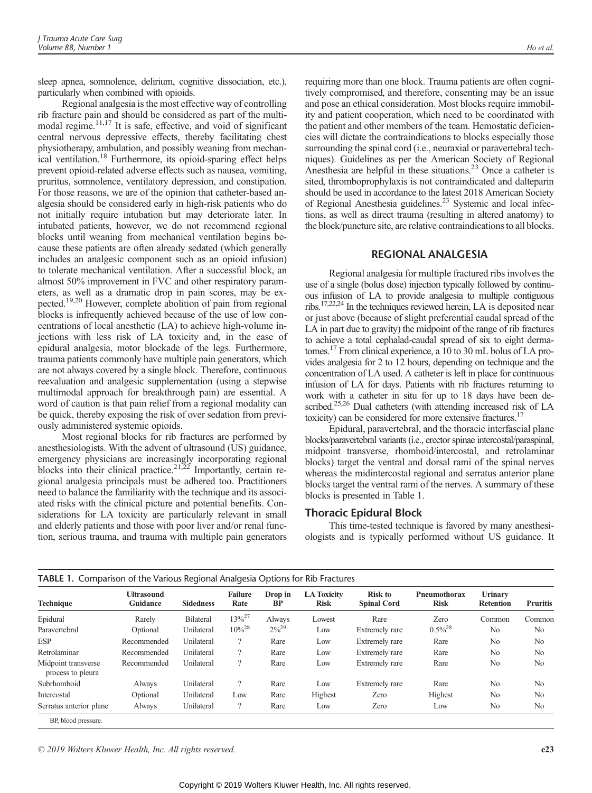sleep apnea, somnolence, delirium, cognitive dissociation, etc.), particularly when combined with opioids.

Regional analgesia is the most effective way of controlling rib fracture pain and should be considered as part of the multimodal regime.<sup>11,17</sup> It is safe, effective, and void of significant central nervous depressive effects, thereby facilitating chest physiotherapy, ambulation, and possibly weaning from mechanical ventilation.<sup>18</sup> Furthermore, its opioid-sparing effect helps prevent opioid-related adverse effects such as nausea, vomiting, pruritus, somnolence, ventilatory depression, and constipation. For those reasons, we are of the opinion that catheter-based analgesia should be considered early in high-risk patients who do not initially require intubation but may deteriorate later. In intubated patients, however, we do not recommend regional blocks until weaning from mechanical ventilation begins because these patients are often already sedated (which generally includes an analgesic component such as an opioid infusion) to tolerate mechanical ventilation. After a successful block, an almost 50% improvement in FVC and other respiratory parameters, as well as a dramatic drop in pain scores, may be expected.19,20 However, complete abolition of pain from regional blocks is infrequently achieved because of the use of low concentrations of local anesthetic (LA) to achieve high-volume injections with less risk of LA toxicity and, in the case of epidural analgesia, motor blockade of the legs. Furthermore, trauma patients commonly have multiple pain generators, which are not always covered by a single block. Therefore, continuous reevaluation and analgesic supplementation (using a stepwise multimodal approach for breakthrough pain) are essential. A word of caution is that pain relief from a regional modality can be quick, thereby exposing the risk of over sedation from previously administered systemic opioids.

Most regional blocks for rib fractures are performed by anesthesiologists. With the advent of ultrasound (US) guidance, emergency physicians are increasingly incorporating regional blocks into their clinical practice.<sup>21,22</sup> Importantly, certain regional analgesia principals must be adhered too. Practitioners need to balance the familiarity with the technique and its associated risks with the clinical picture and potential benefits. Considerations for LA toxicity are particularly relevant in small and elderly patients and those with poor liver and/or renal function, serious trauma, and trauma with multiple pain generators

requiring more than one block. Trauma patients are often cognitively compromised, and therefore, consenting may be an issue and pose an ethical consideration. Most blocks require immobility and patient cooperation, which need to be coordinated with the patient and other members of the team. Hemostatic deficiencies will dictate the contraindications to blocks especially those surrounding the spinal cord (i.e., neuraxial or paravertebral techniques). Guidelines as per the American Society of Regional Anesthesia are helpful in these situations.<sup>23</sup> Once a catheter is sited, thromboprophylaxis is not contraindicated and dalteparin should be used in accordance to the latest 2018 American Society of Regional Anesthesia guidelines.<sup>23</sup> Systemic and local infections, as well as direct trauma (resulting in altered anatomy) to the block/puncture site, are relative contraindications to all blocks.

#### REGIONAL ANALGESIA

Regional analgesia for multiple fractured ribs involves the use of a single (bolus dose) injection typically followed by continuous infusion of LA to provide analgesia to multiple contiguous ribs.17,22,24 In the techniques reviewed herein, LA is deposited near or just above (because of slight preferential caudal spread of the LA in part due to gravity) the midpoint of the range of rib fractures to achieve a total cephalad-caudal spread of six to eight dermatomes.17 From clinical experience, a 10 to 30 mL bolus of LA provides analgesia for 2 to 12 hours, depending on technique and the concentration of LA used. A catheter is left in place for continuous infusion of LA for days. Patients with rib fractures returning to work with a catheter in situ for up to 18 days have been described.<sup>25,26</sup> Dual catheters (with attending increased risk of LA toxicity) can be considered for more extensive fractures.<sup>17</sup>

Epidural, paravertebral, and the thoracic interfascial plane blocks/paravertebral variants (i.e., erector spinae intercostal/paraspinal, midpoint transverse, rhomboid/intercostal, and retrolaminar blocks) target the ventral and dorsal rami of the spinal nerves whereas the midintercostal regional and serratus anterior plane blocks target the ventral rami of the nerves. A summary of these blocks is presented in Table 1.

#### Thoracic Epidural Block

This time-tested technique is favored by many anesthesiologists and is typically performed without US guidance. It

| <b>Technique</b>                         | <b>Ultrasound</b><br>Guidance | <b>Sidedness</b> | <b>Failure</b><br>Rate   | Drop in<br>BP | <b>LA Toxicity</b><br><b>Risk</b> | <b>Risk to</b><br><b>Spinal Cord</b> | Pneumothorax<br><b>Risk</b> | <b>Urinary</b><br><b>Retention</b> | <b>Pruritis</b> |
|------------------------------------------|-------------------------------|------------------|--------------------------|---------------|-----------------------------------|--------------------------------------|-----------------------------|------------------------------------|-----------------|
| Epidural                                 | Rarely                        | <b>Bilateral</b> | $13\%^{27}$              | Always        | Lowest                            | Rare                                 | Zero                        | Common                             | Common          |
| Paravertebral                            | Optional                      | Unilateral       | $10\%^{28}$              | $2\%^{29}$    | Low                               | Extremely rare                       | $0.5\%^{28}$                | N <sub>0</sub>                     | N <sub>0</sub>  |
| <b>ESP</b>                               | Recommended                   | Unilateral       | $\overline{\mathcal{L}}$ | Rare          | Low                               | Extremely rare                       | Rare                        | N <sub>0</sub>                     | N <sub>0</sub>  |
| Retrolaminar                             | Recommended                   | Unilateral       | $\overline{?}$           | Rare          | Low                               | Extremely rare                       | Rare                        | N <sub>0</sub>                     | N <sub>0</sub>  |
| Midpoint transverse<br>process to pleura | Recommended                   | Unilateral       | $\overline{?}$           | Rare          | Low                               | Extremely rare                       | Rare                        | N <sub>0</sub>                     | N <sub>0</sub>  |
| Subrhomboid                              | Always                        | Unilateral       | $\overline{?}$           | Rare          | Low                               | Extremely rare                       | Rare                        | N <sub>0</sub>                     | N <sub>0</sub>  |
| Intercostal                              | Optional                      | Unilateral       | Low                      | Rare          | Highest                           | Zero                                 | Highest                     | N <sub>0</sub>                     | N <sub>0</sub>  |
| Serratus anterior plane                  | Always                        | Unilateral       | $\overline{\phantom{a}}$ | Rare          | Low                               | Zero                                 | Low                         | N <sub>0</sub>                     | N <sub>0</sub>  |

BP, blood pressure.

© 2019 Wolters Kluwer Health, Inc. All rights reserved. e23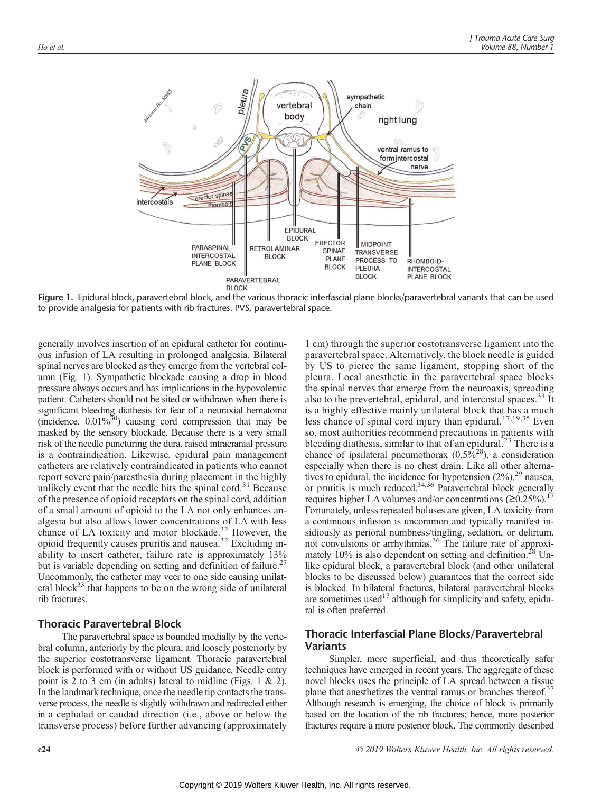

Figure 1. Epidural block, paravertebral block, and the various thoracic interfascial plane blocks/paravertebral variants that can be used to provide analgesia for patients with rib fractures. PVS, paravertebral space.

generally involves insertion of an epidural catheter for continuous infusion of LA resulting in prolonged analgesia. Bilateral spinal nerves are blocked as they emerge from the vertebral column (Fig. 1). Sympathetic blockade causing a drop in blood pressure always occurs and has implications in the hypovolemic patient. Catheters should not be sited or withdrawn when there is significant bleeding diathesis for fear of a neuraxial hematoma (incidence,  $0.01\%^{30}$ ) causing cord compression that may be masked by the sensory blockade. Because there is a very small risk of the needle puncturing the dura, raised intracranial pressure is a contraindication. Likewise, epidural pain management catheters are relatively contraindicated in patients who cannot report severe pain/paresthesia during placement in the highly unlikely event that the needle hits the spinal cord. $31$  Because of the presence of opioid receptors on the spinal cord, addition of a small amount of opioid to the LA not only enhances analgesia but also allows lower concentrations of LA with less chance of LA toxicity and motor blockade.<sup>32</sup> However, the opioid frequently causes pruritis and nausea.<sup>32</sup> Excluding inability to insert catheter, failure rate is approximately 13% but is variable depending on setting and definition of failure.<sup>27</sup> Uncommonly, the catheter may veer to one side causing unilateral block $33$  that happens to be on the wrong side of unilateral rib fractures.

### Thoracic Paravertebral Block

The paravertebral space is bounded medially by the vertebral column, anteriorly by the pleura, and loosely posteriorly by the superior costotransverse ligament. Thoracic paravertebral block is performed with or without US guidance. Needle entry point is 2 to 3 cm (in adults) lateral to midline (Figs. 1 & 2). In the landmark technique, once the needle tip contacts the transverse process, the needle is slightly withdrawn and redirected either in a cephalad or caudad direction (i.e., above or below the transverse process) before further advancing (approximately

1 cm) through the superior costotransverse ligament into the paravertebral space. Alternatively, the block needle is guided by US to pierce the same ligament, stopping short of the pleura. Local anesthetic in the paravertebral space blocks the spinal nerves that emerge from the neuroaxis, spreading also to the prevertebral, epidural, and intercostal spaces.<sup>34</sup> It is a highly effective mainly unilateral block that has a much less chance of spinal cord injury than epidural.<sup>17,19,35</sup> Even so, most authorities recommend precautions in patients with bleeding diathesis, similar to that of an epidural.<sup>23</sup> There is a chance of ipsilateral pneumothorax  $(0.5\%^{28})$ , a consideration especially when there is no chest drain. Like all other alternatives to epidural, the incidence for hypotension  $(2\%)$ ,  $^{29}$  nausea, or pruritis is much reduced.<sup>34,36</sup> Paravertebral block generally requires higher LA volumes and/or concentrations ( $\geq 0.25\%$ ).<sup>17</sup> Fortunately, unless repeated boluses are given, LA toxicity from a continuous infusion is uncommon and typically manifest insidiously as perioral numbness/tingling, sedation, or delirium, not convulsions or arrhythmias.36 The failure rate of approximately  $10\%$  is also dependent on setting and definition.<sup>28</sup> Unlike epidural block, a paravertebral block (and other unilateral blocks to be discussed below) guarantees that the correct side is blocked. In bilateral fractures, bilateral paravertebral blocks are sometimes used<sup>17</sup> although for simplicity and safety, epidural is often preferred.

# Thoracic Interfascial Plane Blocks/Paravertebral Variants

Simpler, more superficial, and thus theoretically safer techniques have emerged in recent years. The aggregate of these novel blocks uses the principle of LA spread between a tissue plane that anesthetizes the ventral ramus or branches thereof.<sup>37</sup> Although research is emerging, the choice of block is primarily based on the location of the rib fractures; hence, more posterior fractures require a more posterior block. The commonly described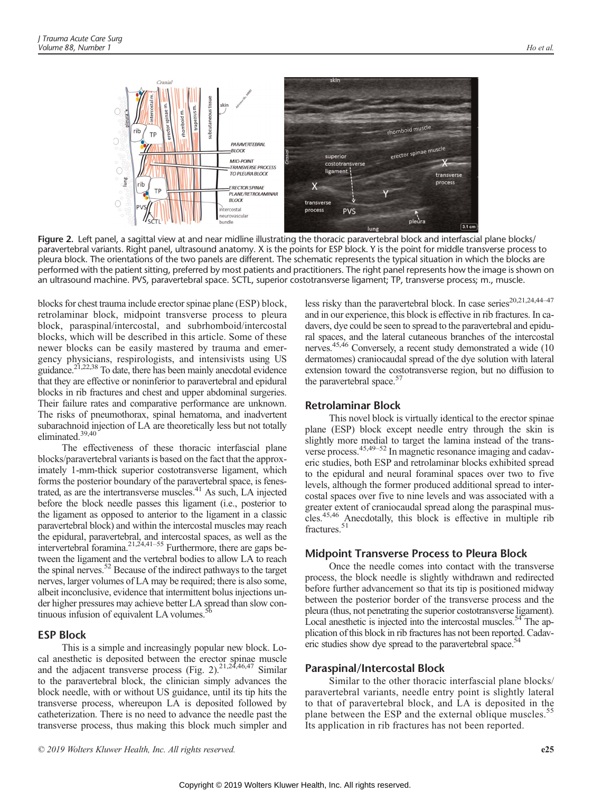

Figure 2. Left panel, a sagittal view at and near midline illustrating the thoracic paravertebral block and interfascial plane blocks/ paravertebral variants. Right panel, ultrasound anatomy. X is the points for ESP block. Y is the point for middle transverse process to pleura block. The orientations of the two panels are different. The schematic represents the typical situation in which the blocks are performed with the patient sitting, preferred by most patients and practitioners. The right panel represents how the image is shown on an ultrasound machine. PVS, paravertebral space. SCTL, superior costotransverse ligament; TP, transverse process; m., muscle.

blocks for chest trauma include erector spinae plane (ESP) block, retrolaminar block, midpoint transverse process to pleura block, paraspinal/intercostal, and subrhomboid/intercostal blocks, which will be described in this article. Some of these newer blocks can be easily mastered by trauma and emergency physicians, respirologists, and intensivists using US guidance.21,22,38 To date, there has been mainly anecdotal evidence that they are effective or noninferior to paravertebral and epidural blocks in rib fractures and chest and upper abdominal surgeries. Their failure rates and comparative performance are unknown. The risks of pneumothorax, spinal hematoma, and inadvertent subarachnoid injection of LA are theoretically less but not totally eliminated.39,40

The effectiveness of these thoracic interfascial plane blocks/paravertebral variants is based on the fact that the approximately 1-mm-thick superior costotransverse ligament, which forms the posterior boundary of the paravertebral space, is fenestrated, as are the intertransverse muscles.<sup>41</sup> As such, LA injected before the block needle passes this ligament (i.e., posterior to the ligament as opposed to anterior to the ligament in a classic paravertebral block) and within the intercostal muscles may reach the epidural, paravertebral, and intercostal spaces, as well as the intervertebral foramina.<sup>21,24,41–55</sup> Furthermore, there are gaps between the ligament and the vertebral bodies to allow LA to reach the spinal nerves.52 Because of the indirect pathways to the target nerves, larger volumes of LA may be required; there is also some, albeit inconclusive, evidence that intermittent bolus injections under higher pressures may achieve better LA spread than slow continuous infusion of equivalent LA volumes.<sup>5</sup>

# ESP Block

This is a simple and increasingly popular new block. Local anesthetic is deposited between the erector spinae muscle and the adjacent transverse process (Fig. 2). $21,24,46,47$  Similar to the paravertebral block, the clinician simply advances the block needle, with or without US guidance, until its tip hits the transverse process, whereupon LA is deposited followed by catheterization. There is no need to advance the needle past the transverse process, thus making this block much simpler and

less risky than the paravertebral block. In case series<sup>20,21,24,44-47</sup> and in our experience, this block is effective in rib fractures. In cadavers, dye could be seen to spread to the paravertebral and epidural spaces, and the lateral cutaneous branches of the intercostal nerves.<sup>45,46</sup> Conversely, a recent study demonstrated a wide (10 dermatomes) craniocaudal spread of the dye solution with lateral extension toward the costotransverse region, but no diffusion to the paravertebral space.<sup>57</sup>

### Retrolaminar Block

This novel block is virtually identical to the erector spinae plane (ESP) block except needle entry through the skin is slightly more medial to target the lamina instead of the transverse process.45,49–<sup>52</sup> In magnetic resonance imaging and cadaveric studies, both ESP and retrolaminar blocks exhibited spread to the epidural and neural foraminal spaces over two to five levels, although the former produced additional spread to intercostal spaces over five to nine levels and was associated with a greater extent of craniocaudal spread along the paraspinal muscles.45,46 Anecdotally, this block is effective in multiple rib fractures.<sup>51</sup>

#### Midpoint Transverse Process to Pleura Block

Once the needle comes into contact with the transverse process, the block needle is slightly withdrawn and redirected before further advancement so that its tip is positioned midway between the posterior border of the transverse process and the pleura (thus, not penetrating the superior costotransverse ligament). Local anesthetic is injected into the intercostal muscles.<sup>54</sup> The application of this block in rib fractures has not been reported. Cadaveric studies show dye spread to the paravertebral space.<sup>54</sup>

#### Paraspinal/Intercostal Block

Similar to the other thoracic interfascial plane blocks/ paravertebral variants, needle entry point is slightly lateral to that of paravertebral block, and LA is deposited in the plane between the ESP and the external oblique muscles.<sup>55</sup> Its application in rib fractures has not been reported.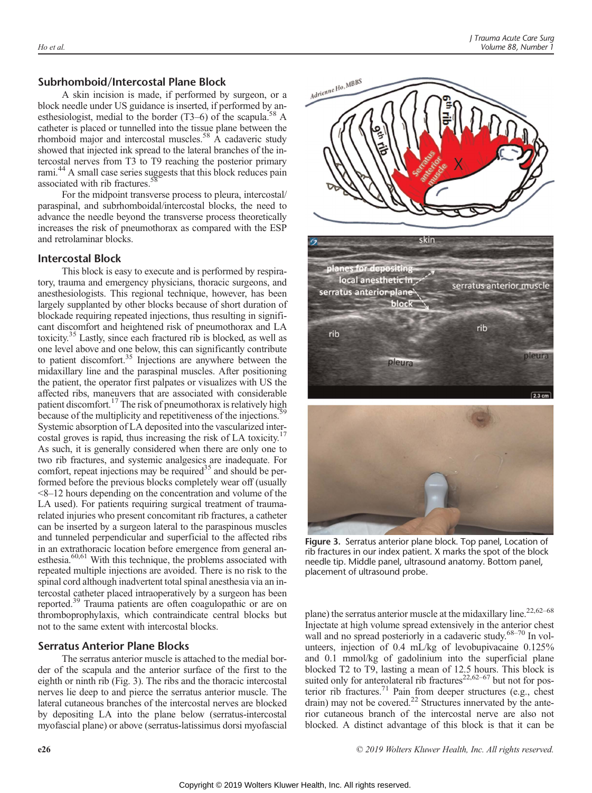# Subrhomboid/Intercostal Plane Block

A skin incision is made, if performed by surgeon, or a block needle under US guidance is inserted, if performed by anesthesiologist, medial to the border  $(T3-6)$  of the scapula.<sup>58</sup> A catheter is placed or tunnelled into the tissue plane between the rhomboid major and intercostal muscles.<sup>58</sup> A cadaveric study showed that injected ink spread to the lateral branches of the intercostal nerves from T3 to T9 reaching the posterior primary rami.44 A small case series suggests that this block reduces pain associated with rib fractures.<sup>58</sup>

For the midpoint transverse process to pleura, intercostal/ paraspinal, and subrhomboidal/intercostal blocks, the need to advance the needle beyond the transverse process theoretically increases the risk of pneumothorax as compared with the ESP and retrolaminar blocks.

## Intercostal Block

This block is easy to execute and is performed by respiratory, trauma and emergency physicians, thoracic surgeons, and anesthesiologists. This regional technique, however, has been largely supplanted by other blocks because of short duration of blockade requiring repeated injections, thus resulting in significant discomfort and heightened risk of pneumothorax and LA toxicity.35 Lastly, since each fractured rib is blocked, as well as one level above and one below, this can significantly contribute to patient discomfort.<sup>35</sup> Injections are anywhere between the midaxillary line and the paraspinal muscles. After positioning the patient, the operator first palpates or visualizes with US the affected ribs, maneuvers that are associated with considerable patient discomfort.<sup>17</sup> The risk of pneumothorax is relatively high because of the multiplicity and repetitiveness of the injections.<sup>59</sup> Systemic absorption of LA deposited into the vascularized intercostal groves is rapid, thus increasing the risk of LA toxicity.17 As such, it is generally considered when there are only one to two rib fractures, and systemic analgesics are inadequate. For comfort, repeat injections may be required<sup>35</sup> and should be performed before the previous blocks completely wear off (usually <8–12 hours depending on the concentration and volume of the LA used). For patients requiring surgical treatment of traumarelated injuries who present concomitant rib fractures, a catheter can be inserted by a surgeon lateral to the paraspinous muscles and tunneled perpendicular and superficial to the affected ribs in an extrathoracic location before emergence from general anesthesia.<sup>60,61</sup> With this technique, the problems associated with repeated multiple injections are avoided. There is no risk to the spinal cord although inadvertent total spinal anesthesia via an intercostal catheter placed intraoperatively by a surgeon has been reported.<sup>39</sup> Trauma patients are often coagulopathic or are on thromboprophylaxis, which contraindicate central blocks but not to the same extent with intercostal blocks.

## Serratus Anterior Plane Blocks

The serratus anterior muscle is attached to the medial border of the scapula and the anterior surface of the first to the eighth or ninth rib (Fig. 3). The ribs and the thoracic intercostal nerves lie deep to and pierce the serratus anterior muscle. The lateral cutaneous branches of the intercostal nerves are blocked by depositing LA into the plane below (serratus-intercostal myofascial plane) or above (serratus-latissimus dorsi myofascial



Figure 3. Serratus anterior plane block. Top panel, Location of rib fractures in our index patient. X marks the spot of the block needle tip. Middle panel, ultrasound anatomy. Bottom panel, placement of ultrasound probe.

plane) the serratus anterior muscle at the midaxillary line.<sup>22,62–68</sup> Injectate at high volume spread extensively in the anterior chest wall and no spread posteriorly in a cadaveric study.<sup>68–70</sup> In volunteers, injection of 0.4 mL/kg of levobupivacaine 0.125% and 0.1 mmol/kg of gadolinium into the superficial plane blocked T2 to T9, lasting a mean of 12.5 hours. This block is suited only for anterolateral rib fractures $22,62-67$  but not for posterior rib fractures.<sup>71</sup> Pain from deeper structures (e.g., chest drain) may not be covered.<sup>22</sup> Structures innervated by the anterior cutaneous branch of the intercostal nerve are also not blocked. A distinct advantage of this block is that it can be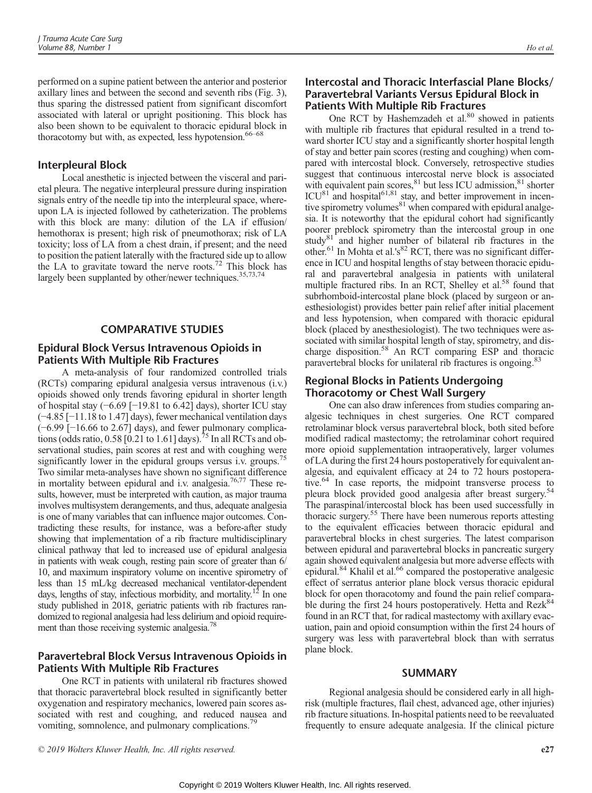performed on a supine patient between the anterior and posterior axillary lines and between the second and seventh ribs (Fig. 3), thus sparing the distressed patient from significant discomfort associated with lateral or upright positioning. This block has also been shown to be equivalent to thoracic epidural block in thoracotomy but with, as expected, less hypotension.<sup>66–68</sup>

# Interpleural Block

Local anesthetic is injected between the visceral and parietal pleura. The negative interpleural pressure during inspiration signals entry of the needle tip into the interpleural space, whereupon LA is injected followed by catheterization. The problems with this block are many: dilution of the LA if effusion/ hemothorax is present; high risk of pneumothorax; risk of LA toxicity; loss of LA from a chest drain, if present; and the need to position the patient laterally with the fractured side up to allow the LA to gravitate toward the nerve roots.<sup>72</sup> This block has largely been supplanted by other/newer techniques.<sup>35,73,74</sup>

### COMPARATIVE STUDIES

# Epidural Block Versus Intravenous Opioids in Patients With Multiple Rib Fractures

A meta-analysis of four randomized controlled trials (RCTs) comparing epidural analgesia versus intravenous (i.v.) opioids showed only trends favoring epidural in shorter length of hospital stay (−6.69 [−19.81 to 6.42] days), shorter ICU stay (−4.85 [−11.18 to 1.47] days), fewer mechanical ventilation days (−6.99 [−16.66 to 2.67] days), and fewer pulmonary complications (odds ratio,  $0.58$  [0.21 to 1.61] days).<sup>75</sup> In all RCTs and observational studies, pain scores at rest and with coughing were significantly lower in the epidural groups versus i.v. groups.<sup>75</sup> Two similar meta-analyses have shown no significant difference in mortality between epidural and i.v. analgesia.<sup>76,77</sup> These results, however, must be interpreted with caution, as major trauma involves multisystem derangements, and thus, adequate analgesia is one of many variables that can influence major outcomes. Contradicting these results, for instance, was a before-after study showing that implementation of a rib fracture multidisciplinary clinical pathway that led to increased use of epidural analgesia in patients with weak cough, resting pain score of greater than 6/ 10, and maximum inspiratory volume on incentive spirometry of less than 15 mL/kg decreased mechanical ventilator-dependent days, lengths of stay, infectious morbidity, and mortality.<sup>12</sup> In one study published in 2018, geriatric patients with rib fractures randomized to regional analgesia had less delirium and opioid requirement than those receiving systemic analgesia.<sup>78</sup>

# Paravertebral Block Versus Intravenous Opioids in Patients With Multiple Rib Fractures

One RCT in patients with unilateral rib fractures showed that thoracic paravertebral block resulted in significantly better oxygenation and respiratory mechanics, lowered pain scores associated with rest and coughing, and reduced nausea and vomiting, somnolence, and pulmonary complications.<sup>79</sup>

# Intercostal and Thoracic Interfascial Plane Blocks/ Paravertebral Variants Versus Epidural Block in Patients With Multiple Rib Fractures

One RCT by Hashemzadeh et al.<sup>80</sup> showed in patients with multiple rib fractures that epidural resulted in a trend toward shorter ICU stay and a significantly shorter hospital length of stay and better pain scores (resting and coughing) when compared with intercostal block. Conversely, retrospective studies suggest that continuous intercostal nerve block is associated with equivalent pain scores, 81 but less ICU admission, 81 shorter  $ICU<sup>81</sup>$  and hospital<sup>61,81</sup> stay, and better improvement in incentive spirometry volumes $81$  when compared with epidural analgesia. It is noteworthy that the epidural cohort had significantly poorer preblock spirometry than the intercostal group in one study $81$  and higher number of bilateral rib fractures in the other.<sup>61</sup> In Mohta et al.'s<sup>82</sup> RCT, there was no significant difference in ICU and hospital lengths of stay between thoracic epidural and paravertebral analgesia in patients with unilateral multiple fractured ribs. In an RCT, Shelley et al.<sup>58</sup> found that subrhomboid-intercostal plane block (placed by surgeon or anesthesiologist) provides better pain relief after initial placement and less hypotension, when compared with thoracic epidural block (placed by anesthesiologist). The two techniques were associated with similar hospital length of stay, spirometry, and discharge disposition.58 An RCT comparing ESP and thoracic paravertebral blocks for unilateral rib fractures is ongoing.<sup>83</sup>

# Regional Blocks in Patients Undergoing Thoracotomy or Chest Wall Surgery

One can also draw inferences from studies comparing analgesic techniques in chest surgeries. One RCT compared retrolaminar block versus paravertebral block, both sited before modified radical mastectomy; the retrolaminar cohort required more opioid supplementation intraoperatively, larger volumes of LA during the first 24 hours postoperatively for equivalent analgesia, and equivalent efficacy at 24 to 72 hours postoperative.<sup>64</sup> In case reports, the midpoint transverse process to pleura block provided good analgesia after breast surgery.<sup>54</sup> The paraspinal/intercostal block has been used successfully in thoracic surgery.<sup>55</sup> There have been numerous reports attesting to the equivalent efficacies between thoracic epidural and paravertebral blocks in chest surgeries. The latest comparison between epidural and paravertebral blocks in pancreatic surgery again showed equivalent analgesia but more adverse effects with epidural.<sup>84</sup> Khalil et al.<sup>66</sup> compared the postoperative analgesic effect of serratus anterior plane block versus thoracic epidural block for open thoracotomy and found the pain relief comparable during the first 24 hours postoperatively. Hetta and Rezk<sup>84</sup> found in an RCT that, for radical mastectomy with axillary evacuation, pain and opioid consumption within the first 24 hours of surgery was less with paravertebral block than with serratus plane block.

### SUMMARY

Regional analgesia should be considered early in all highrisk (multiple fractures, flail chest, advanced age, other injuries) rib fracture situations. In-hospital patients need to be reevaluated frequently to ensure adequate analgesia. If the clinical picture

© 2019 Wolters Kluwer Health, Inc. All rights reserved. e27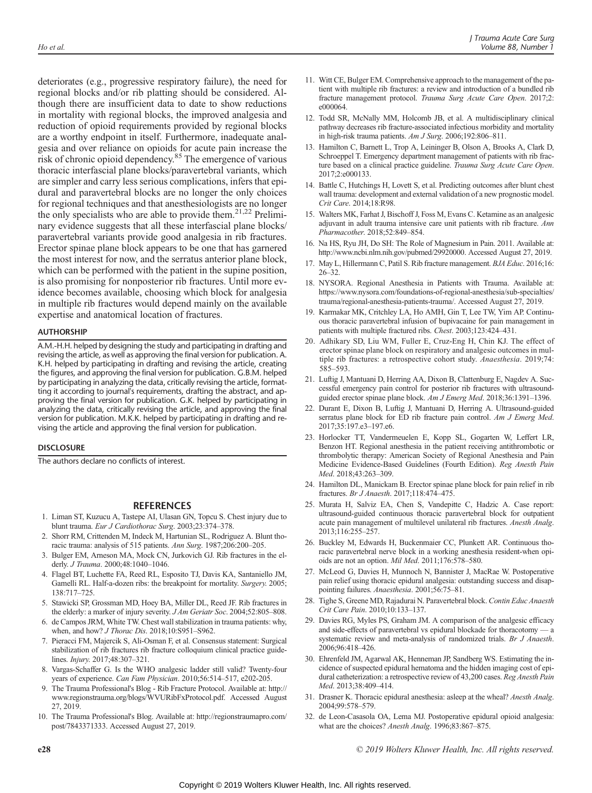deteriorates (e.g., progressive respiratory failure), the need for regional blocks and/or rib platting should be considered. Although there are insufficient data to date to show reductions in mortality with regional blocks, the improved analgesia and reduction of opioid requirements provided by regional blocks are a worthy endpoint in itself. Furthermore, inadequate analgesia and over reliance on opioids for acute pain increase the risk of chronic opioid dependency.<sup>85</sup> The emergence of various thoracic interfascial plane blocks/paravertebral variants, which are simpler and carry less serious complications, infers that epidural and paravertebral blocks are no longer the only choices for regional techniques and that anesthesiologists are no longer the only specialists who are able to provide them.<sup>21,22</sup> Preliminary evidence suggests that all these interfascial plane blocks/ paravertebral variants provide good analgesia in rib fractures. Erector spinae plane block appears to be one that has garnered the most interest for now, and the serratus anterior plane block, which can be performed with the patient in the supine position, is also promising for nonposterior rib fractures. Until more evidence becomes available, choosing which block for analgesia in multiple rib fractures would depend mainly on the available expertise and anatomical location of fractures.

#### AUTHORSHIP

A.M.-H.H. helped by designing the study and participating in drafting and revising the article, as well as approving the final version for publication. A. K.H. helped by participating in drafting and revising the article, creating the figures, and approving the final version for publication. G.B.M. helped by participating in analyzing the data, critically revising the article, formatting it according to journal's requirements, drafting the abstract, and approving the final version for publication. G.K. helped by participating in analyzing the data, critically revising the article, and approving the final version for publication. M.K.K. helped by participating in drafting and revising the article and approving the final version for publication.

#### **DISCLOSURE**

The authors declare no conflicts of interest.

#### REFERENCES

- 1. Liman ST, Kuzucu A, Tastepe AI, Ulasan GN, Topcu S. Chest injury due to blunt trauma. Eur J Cardiothorac Surg. 2003;23:374–378.
- 2. Shorr RM, Crittenden M, Indeck M, Hartunian SL, Rodriguez A. Blunt thoracic trauma: analysis of 515 patients. Ann Surg. 1987;206:200–205.
- 3. Bulger EM, Arneson MA, Mock CN, Jurkovich GJ. Rib fractures in the elderly. J Trauma. 2000;48:1040–1046.
- 4. Flagel BT, Luchette FA, Reed RL, Esposito TJ, Davis KA, Santaniello JM, Gamelli RL. Half-a-dozen ribs: the breakpoint for mortality. Surgery. 2005; 138:717–725.
- 5. Stawicki SP, Grossman MD, Hoey BA, Miller DL, Reed JF. Rib fractures in the elderly: a marker of injury severity. J Am Geriatr Soc. 2004;52:805–808.
- 6. de Campos JRM, White TW. Chest wall stabilization in trauma patients: why, when, and how? J Thorac Dis. 2018;10:S951–S962.
- 7. Pieracci FM, Majercik S, Ali-Osman F, et al. Consensus statement: Surgical stabilization of rib fractures rib fracture colloquium clinical practice guidelines. Injury. 2017;48:307–321.
- 8. Vargas-Schaffer G. Is the WHO analgesic ladder still valid? Twenty-four years of experience. Can Fam Physician. 2010;56:514–517, e202-205.
- 9. The Trauma Professional's Blog Rib Fracture Protocol. Available at: [http://](http://www.regionstrauma.org/blogs/WVURibFxProtocol.pdf) [www.regionstrauma.org/blogs/WVURibFxProtocol.pdf](http://www.regionstrauma.org/blogs/WVURibFxProtocol.pdf). Accessed August 27, 2019.
- 10. The Trauma Professional's Blog. Available at: [http://regionstraumapro.com/](http://regionstraumapro.com/post/7843371333) [post/7843371333.](http://regionstraumapro.com/post/7843371333) Accessed August 27, 2019.
- 11. Witt CE, Bulger EM. Comprehensive approach to the management of the patient with multiple rib fractures: a review and introduction of a bundled rib fracture management protocol. Trauma Surg Acute Care Open. 2017;2: e000064.
- 12. Todd SR, McNally MM, Holcomb JB, et al. A multidisciplinary clinical pathway decreases rib fracture-associated infectious morbidity and mortality in high-risk trauma patients. Am J Surg. 2006;192:806–811.
- 13. Hamilton C, Barnett L, Trop A, Leininger B, Olson A, Brooks A, Clark D, Schroeppel T. Emergency department management of patients with rib fracture based on a clinical practice guideline. Trauma Surg Acute Care Open. 2017;2:e000133.
- 14. Battle C, Hutchings H, Lovett S, et al. Predicting outcomes after blunt chest wall trauma: development and external validation of a new prognostic model. Crit Care. 2014;18:R98.
- 15. Walters MK, Farhat J, Bischoff J, Foss M, Evans C. Ketamine as an analgesic adjuvant in adult trauma intensive care unit patients with rib fracture. Ann Pharmacother. 2018;52:849–854.
- 16. Na HS, Ryu JH, Do SH: The Role of Magnesium in Pain. 2011. Available at: [http://www.ncbi.nlm.nih.gov/pubmed/29920000.](http://www.ncbi.nlm.nih.gov/pubmed/29920000) Accessed August 27, 2019.
- 17. May L, Hillermann C, Patil S. Rib fracture management. BJA Educ. 2016;16: 26–32.
- 18. NYSORA. Regional Anesthesia in Patients with Trauma. Available at: [https://www.nysora.com/foundations-of-regional-anesthesia/sub-specialties/](https://www.nysora.com/foundations-of-regional-anesthesia/sub-specialties/trauma/regional-anesthesia-patients-trauma/) [trauma/regional-anesthesia-patients-trauma/.](https://www.nysora.com/foundations-of-regional-anesthesia/sub-specialties/trauma/regional-anesthesia-patients-trauma/) Accessed August 27, 2019.
- 19. Karmakar MK, Critchley LA, Ho AMH, Gin T, Lee TW, Yim AP. Continuous thoracic paravertebral infusion of bupivacaine for pain management in patients with multiple fractured ribs. Chest. 2003;123:424–431.
- 20. Adhikary SD, Liu WM, Fuller E, Cruz-Eng H, Chin KJ. The effect of erector spinae plane block on respiratory and analgesic outcomes in multiple rib fractures: a retrospective cohort study. Anaesthesia. 2019;74: 585–593.
- 21. Luftig J, Mantuani D, Herring AA, Dixon B, Clattenburg E, Nagdev A. Successful emergency pain control for posterior rib fractures with ultrasoundguided erector spinae plane block. Am J Emerg Med. 2018;36:1391–1396.
- 22. Durant E, Dixon B, Luftig J, Mantuani D, Herring A. Ultrasound-guided serratus plane block for ED rib fracture pain control. Am J Emerg Med. 2017;35:197.e3–197.e6.
- 23. Horlocker TT, Vandermeuelen E, Kopp SL, Gogarten W, Leffert LR, Benzon HT. Regional anesthesia in the patient receiving antithrombotic or thrombolytic therapy: American Society of Regional Anesthesia and Pain Medicine Evidence-Based Guidelines (Fourth Edition). Reg Anesth Pain Med. 2018;43:263–309.
- 24. Hamilton DL, Manickam B. Erector spinae plane block for pain relief in rib fractures. Br J Anaesth. 2017;118:474–475.
- 25. Murata H, Salviz EA, Chen S, Vandepitte C, Hadzic A. Case report: ultrasound-guided continuous thoracic paravertebral block for outpatient acute pain management of multilevel unilateral rib fractures. Anesth Analg. 2013;116:255–257.
- 26. Buckley M, Edwards H, Buckenmaier CC, Plunkett AR. Continuous thoracic paravertebral nerve block in a working anesthesia resident-when opioids are not an option. Mil Med. 2011;176:578–580.
- 27. McLeod G, Davies H, Munnoch N, Bannister J, MacRae W. Postoperative pain relief using thoracic epidural analgesia: outstanding success and disappointing failures. Anaesthesia. 2001;56:75–81.
- 28. Tighe S, Greene MD, Rajadurai N. Paravertebral block. Contin Educ Anaesth Crit Care Pain. 2010;10:133–137.
- 29. Davies RG, Myles PS, Graham JM. A comparison of the analgesic efficacy and side-effects of paravertebral vs epidural blockade for thoracotomy systematic review and meta-analysis of randomized trials. Br J Anaesth. 2006;96:418–426.
- 30. Ehrenfeld JM, Agarwal AK, Henneman JP, Sandberg WS. Estimating the incidence of suspected epidural hematoma and the hidden imaging cost of epidural catheterization: a retrospective review of 43,200 cases. Reg Anesth Pain Med. 2013;38:409–414.
- 31. Drasner K. Thoracic epidural anesthesia: asleep at the wheal? Anesth Analg. 2004;99:578–579.
- 32. de Leon-Casasola OA, Lema MJ. Postoperative epidural opioid analgesia: what are the choices? Anesth Analg. 1996;83:867–875.

e28 © 2019 Wolters Kluwer Health, Inc. All rights reserved.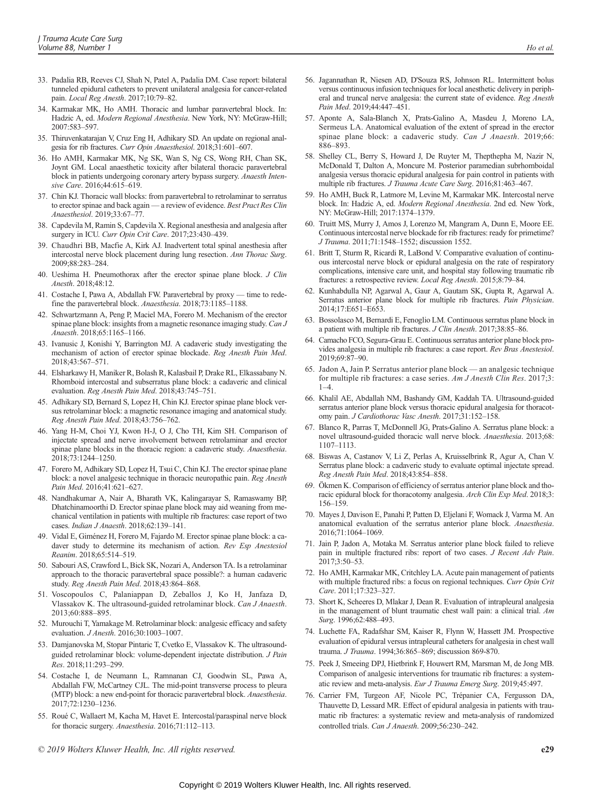- 33. Padalia RB, Reeves CJ, Shah N, Patel A, Padalia DM. Case report: bilateral tunneled epidural catheters to prevent unilateral analgesia for cancer-related pain. Local Reg Anesth. 2017;10:79–82.
- 34. Karmakar MK, Ho AMH. Thoracic and lumbar paravertebral block. In: Hadzic A, ed. Modern Regional Anesthesia. New York, NY: McGraw-Hill; 2007:583–597.
- 35. Thiruvenkatarajan V, Cruz Eng H, Adhikary SD. An update on regional analgesia for rib fractures. Curr Opin Anaesthesiol. 2018;31:601–607.
- 36. Ho AMH, Karmakar MK, Ng SK, Wan S, Ng CS, Wong RH, Chan SK, Joynt GM. Local anaesthetic toxicity after bilateral thoracic paravertebral block in patients undergoing coronary artery bypass surgery. Anaesth Intensive Care. 2016;44:615–619.
- 37. Chin KJ. Thoracic wall blocks: from paravertebral to retrolaminar to serratus to erector spinae and back again — a review of evidence. Best Pract Res Clin Anaesthesiol. 2019;33:67–77.
- 38. Capdevila M, Ramin S, Capdevila X. Regional anesthesia and analgesia after surgery in ICU. Curr Opin Crit Care. 2017;23:430-439.
- 39. Chaudhri BB, Macfie A, Kirk AJ. Inadvertent total spinal anesthesia after intercostal nerve block placement during lung resection. Ann Thorac Surg. 2009;88:283–284.
- 40. Ueshima H. Pneumothorax after the erector spinae plane block. J Clin Anesth. 2018;48:12.
- 41. Costache I, Pawa A, Abdallah FW. Paravertebral by proxy time to redefine the paravertebral block. Anaesthesia. 2018;73:1185–1188.
- 42. Schwartzmann A, Peng P, Maciel MA, Forero M. Mechanism of the erector spinae plane block: insights from a magnetic resonance imaging study. Can J Anaesth. 2018;65:1165–1166.
- 43. Ivanusic J, Konishi Y, Barrington MJ. A cadaveric study investigating the mechanism of action of erector spinae blockade. Reg Anesth Pain Med. 2018;43:567–571.
- 44. Elsharkawy H, Maniker R, Bolash R, Kalasbail P, Drake RL, Elkassabany N. Rhomboid intercostal and subserratus plane block: a cadaveric and clinical evaluation. Reg Anesth Pain Med. 2018;43:745-751.
- 45. Adhikary SD, Bernard S, Lopez H, Chin KJ. Erector spinae plane block versus retrolaminar block: a magnetic resonance imaging and anatomical study. Reg Anesth Pain Med. 2018;43:756–762.
- 46. Yang H-M, Choi YJ, Kwon H-J, O J, Cho TH, Kim SH. Comparison of injectate spread and nerve involvement between retrolaminar and erector spinae plane blocks in the thoracic region: a cadaveric study. Anaesthesia. 2018;73:1244–1250.
- 47. Forero M, Adhikary SD, Lopez H, Tsui C, Chin KJ. The erector spinae plane block: a novel analgesic technique in thoracic neuropathic pain. Reg Anesth Pain Med. 2016;41:621–627.
- 48. Nandhakumar A, Nair A, Bharath VK, Kalingarayar S, Ramaswamy BP, Dhatchinamoorthi D. Erector spinae plane block may aid weaning from mechanical ventilation in patients with multiple rib fractures: case report of two cases. Indian J Anaesth. 2018;62:139–141.
- 49. Vidal E, Giménez H, Forero M, Fajardo M. Erector spinae plane block: a cadaver study to determine its mechanism of action. Rev Esp Anestesiol Reanim. 2018;65:514–519.
- 50. Sabouri AS, Crawford L, Bick SK, Nozari A, Anderson TA. Is a retrolaminar approach to the thoracic paravertebral space possible?: a human cadaveric study. Reg Anesth Pain Med. 2018;43:864–868.
- 51. Voscopoulos C, Palaniappan D, Zeballos J, Ko H, Janfaza D, Vlassakov K. The ultrasound-guided retrolaminar block. Can J Anaesth. 2013;60:888–895.
- 52. Murouchi T, Yamakage M. Retrolaminar block: analgesic efficacy and safety evaluation. J Anesth. 2016;30:1003–1007.
- 53. Damjanovska M, Stopar Pintaric T, Cvetko E, Vlassakov K. The ultrasoundguided retrolaminar block: volume-dependent injectate distribution. J Pain Res. 2018;11:293–299.
- 54. Costache I, de Neumann L, Ramnanan CJ, Goodwin SL, Pawa A, Abdallah FW, McCartney CJL. The mid-point transverse process to pleura (MTP) block: a new end-point for thoracic paravertebral block. Anaesthesia. 2017;72:1230–1236.
- 55. Roué C, Wallaert M, Kacha M, Havet E. Intercostal/paraspinal nerve block for thoracic surgery. Anaesthesia. 2016;71:112–113.
- 56. Jagannathan R, Niesen AD, D'Souza RS, Johnson RL. Intermittent bolus versus continuous infusion techniques for local anesthetic delivery in peripheral and truncal nerve analgesia: the current state of evidence. Reg Anesth Pain Med. 2019;44:447–451.
- 57. Aponte A, Sala-Blanch X, Prats-Galino A, Masdeu J, Moreno LA, Sermeus LA. Anatomical evaluation of the extent of spread in the erector spinae plane block: a cadaveric study. Can J Anaesth. 2019;66: 886–893.
- 58. Shelley CL, Berry S, Howard J, De Ruyter M, Thepthepha M, Nazir N, McDonald T, Dalton A, Moncure M. Posterior paramedian subrhomboidal analgesia versus thoracic epidural analgesia for pain control in patients with multiple rib fractures. J Trauma Acute Care Surg. 2016;81:463–467.
- 59. Ho AMH, Buck R, Latmore M, Levine M, Karmakar MK. Intercostal nerve block. In: Hadzic A, ed. Modern Regional Anesthesia. 2nd ed. New York, NY: McGraw-Hill; 2017:1374–1379.
- 60. Truitt MS, Murry J, Amos J, Lorenzo M, Mangram A, Dunn E, Moore EE. Continuous intercostal nerve blockade for rib fractures: ready for primetime? J Trauma. 2011;71:1548–1552; discussion 1552.
- 61. Britt T, Sturm R, Ricardi R, LaBond V. Comparative evaluation of continuous intercostal nerve block or epidural analgesia on the rate of respiratory complications, intensive care unit, and hospital stay following traumatic rib fractures: a retrospective review. Local Reg Anesth. 2015;8:79–84.
- 62. Kunhabdulla NP, Agarwal A, Gaur A, Gautam SK, Gupta R, Agarwal A. Serratus anterior plane block for multiple rib fractures. Pain Physician. 2014;17:E651–E653.
- 63. Bossolasco M, Bernardi E, Fenoglio LM. Continuous serratus plane block in a patient with multiple rib fractures. J Clin Anesth. 2017;38:85–86.
- 64. Camacho FCO, Segura-Grau E. Continuous serratus anterior plane block provides analgesia in multiple rib fractures: a case report. Rev Bras Anestesiol. 2019;69:87–90.
- 65. Jadon A, Jain P. Serratus anterior plane block an analgesic technique for multiple rib fractures: a case series. Am J Anesth Clin Res. 2017;3:  $1-4.$
- 66. Khalil AE, Abdallah NM, Bashandy GM, Kaddah TA. Ultrasound-guided serratus anterior plane block versus thoracic epidural analgesia for thoracotomy pain. J Cardiothorac Vasc Anesth. 2017;31:152–158.
- 67. Blanco R, Parras T, McDonnell JG, Prats-Galino A. Serratus plane block: a novel ultrasound-guided thoracic wall nerve block. Anaesthesia. 2013;68: 1107–1113.
- 68. Biswas A, Castanov V, Li Z, Perlas A, Kruisselbrink R, Agur A, Chan V. Serratus plane block: a cadaveric study to evaluate optimal injectate spread. Reg Anesth Pain Med. 2018;43:854–858.
- 69. Ökmen K. Comparison of efficiency of serratus anterior plane block and thoracic epidural block for thoracotomy analgesia. Arch Clin Exp Med. 2018;3: 156–159.
- 70. Mayes J, Davison E, Panahi P, Patten D, Eljelani F, Womack J, Varma M. An anatomical evaluation of the serratus anterior plane block. Anaesthesia. 2016;71:1064–1069.
- 71. Jain P, Jadon A, Motaka M. Serratus anterior plane block failed to relieve pain in multiple fractured ribs: report of two cases. J Recent Adv Pain. 2017;3:50–53.
- 72. Ho AMH, Karmakar MK, Critchley LA. Acute pain management of patients with multiple fractured ribs: a focus on regional techniques. Curr Opin Crit Care. 2011;17:323–327.
- 73. Short K, Scheeres D, Mlakar J, Dean R. Evaluation of intrapleural analgesia in the management of blunt traumatic chest wall pain: a clinical trial. Am Surg. 1996;62:488–493.
- 74. Luchette FA, Radafshar SM, Kaiser R, Flynn W, Hassett JM. Prospective evaluation of epidural versus intrapleural catheters for analgesia in chest wall trauma. J Trauma. 1994;36:865–869; discussion 869-870.
- 75. Peek J, Smeeing DPJ, Hietbrink F, Houwert RM, Marsman M, de Jong MB. Comparison of analgesic interventions for traumatic rib fractures: a systematic review and meta-analysis. Eur J Trauma Emerg Surg. 2019;45:497.
- 76. Carrier FM, Turgeon AF, Nicole PC, Trépanier CA, Fergusson DA, Thauvette D, Lessard MR. Effect of epidural analgesia in patients with traumatic rib fractures: a systematic review and meta-analysis of randomized controlled trials. Can J Anaesth. 2009;56:230–242.
- © 2019 Wolters Kluwer Health, Inc. All rights reserved. e29